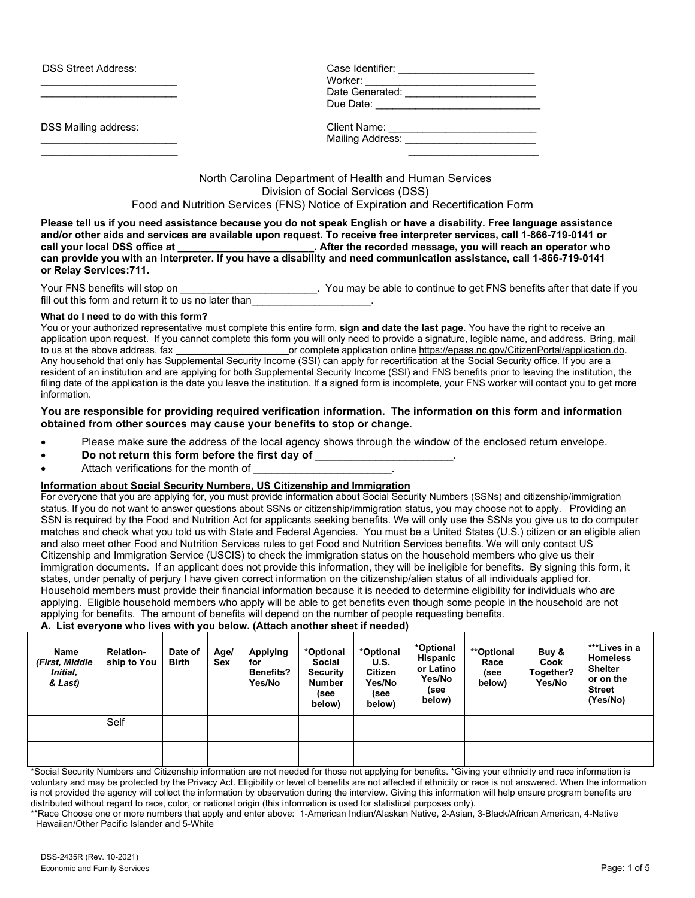| <b>DSS Street Address:</b> | Case Identifier:<br>Worker:<br>Date Generated: |  |  |
|----------------------------|------------------------------------------------|--|--|
|                            | Due Date:                                      |  |  |
| DSS Mailing address:       | Client Name:<br>Mailing Address:               |  |  |
|                            |                                                |  |  |

North Carolina Department of Health and Human Services Division of Social Services (DSS) Food and Nutrition Services (FNS) Notice of Expiration and Recertification Form

**Please tell us if you need assistance because you do not speak English or have a disability. Free language assistance and/or other aids and services are available upon request. To receive free interpreter services, call 1-866-719-0141 or call your local DSS office at \_\_\_\_\_\_\_\_\_\_\_\_\_\_\_\_\_\_\_\_\_\_\_\_. After the recorded message, you will reach an operator who can provide you with an interpreter. If you have a disability and need communication assistance, call 1-866-719-0141 or Relay Services:711.**

Your FNS benefits will stop on **EXEC 10** You may be able to continue to get FNS benefits after that date if you fill out this form and return it to us no later than

### **What do I need to do with this form?**

You or your authorized representative must complete this entire form, **sign and date the last page**. You have the right to receive an application upon request. If you cannot complete this form you will only need to provide a signature, legible name, and address. Bring, mail<br>or complete application online https://epass.nc.gov/CitizenPortal/application.do. or complete application online [https://epass.nc.gov/CitizenPortal/application.do.](https://epass.nc.gov/CitizenPortal/application.do) Any household that only has Supplemental Security Income (SSI) can apply for recertification at the Social Security office. If you are a resident of an institution and are applying for both Supplemental Security Income (SSI) and FNS benefits prior to leaving the institution, the filing date of the application is the date you leave the institution. If a signed form is incomplete, your FNS worker will contact you to get more information.

### **You are responsible for providing required verification information. The information on this form and information obtained from other sources may cause your benefits to stop or change.**

- Please make sure the address of the local agency shows through the window of the enclosed return envelope.
- **Do not return this form before the first day of** \_\_\_\_\_\_\_\_\_\_\_\_\_\_\_\_\_\_\_\_\_\_\_.
- Attach verifications for the month of

### **Information about Social Security Numbers, US Citizenship and Immigration**

For everyone that you are applying for, you must provide information about Social Security Numbers (SSNs) and citizenship/immigration status. If you do not want to answer questions about SSNs or citizenship/immigration status, you may choose not to apply. Providing an SSN is required by the Food and Nutrition Act for applicants seeking benefits. We will only use the SSNs you give us to do computer matches and check what you told us with State and Federal Agencies. You must be a United States (U.S.) citizen or an eligible alien and also meet other Food and Nutrition Services rules to get Food and Nutrition Services benefits. We will only contact US Citizenship and Immigration Service (USCIS) to check the immigration status on the household members who give us their immigration documents. If an applicant does not provide this information, they will be ineligible for benefits. By signing this form, it states, under penalty of perjury I have given correct information on the citizenship/alien status of all individuals applied for. Household members must provide their financial information because it is needed to determine eligibility for individuals who are applying. Eligible household members who apply will be able to get benefits even though some people in the household are not applying for benefits. The amount of benefits will depend on the number of people requesting benefits.

**A. List everyone who lives with you below. (Attach another sheet if needed)**

| Name<br>(First, Middle<br>Initial,<br>& Last) | <b>Relation-</b><br>ship to You | Date of<br><b>Birth</b> | Age/<br>Sex | <b>Applying</b><br>for<br><b>Benefits?</b><br>Yes/No | *Optional<br><b>Social</b><br><b>Security</b><br>Number<br>(see<br>below) | *Optional<br>U.S.<br><b>Citizen</b><br>Yes/No<br>(see<br>below) | *Optional<br>Hispanic<br>or Latino<br>Yes/No<br>(see<br>below) | <i>**</i> Optional<br>Race<br>(see<br>below) | Buy &<br>Cook<br>Together?<br>Yes/No | ***Lives in a<br><b>Homeless</b><br><b>Shelter</b><br>or on the<br><b>Street</b><br>(Yes/No) |
|-----------------------------------------------|---------------------------------|-------------------------|-------------|------------------------------------------------------|---------------------------------------------------------------------------|-----------------------------------------------------------------|----------------------------------------------------------------|----------------------------------------------|--------------------------------------|----------------------------------------------------------------------------------------------|
|                                               | Self                            |                         |             |                                                      |                                                                           |                                                                 |                                                                |                                              |                                      |                                                                                              |
|                                               |                                 |                         |             |                                                      |                                                                           |                                                                 |                                                                |                                              |                                      |                                                                                              |
|                                               |                                 |                         |             |                                                      |                                                                           |                                                                 |                                                                |                                              |                                      |                                                                                              |
|                                               |                                 |                         |             |                                                      |                                                                           |                                                                 |                                                                |                                              |                                      |                                                                                              |

\*Social Security Numbers and Citizenship information are not needed for those not applying for benefits. \*Giving your ethnicity and race information is voluntary and may be protected by the Privacy Act. Eligibility or level of benefits are not affected if ethnicity or race is not answered. When the information is not provided the agency will collect the information by observation during the interview. Giving this information will help ensure program benefits are distributed without regard to race, color, or national origin (this information is used for statistical purposes only).

\*\*Race Choose one or more numbers that apply and enter above: 1-American Indian/Alaskan Native, 2-Asian, 3-Black/African American, 4-Native Hawaiian/Other Pacific Islander and 5-White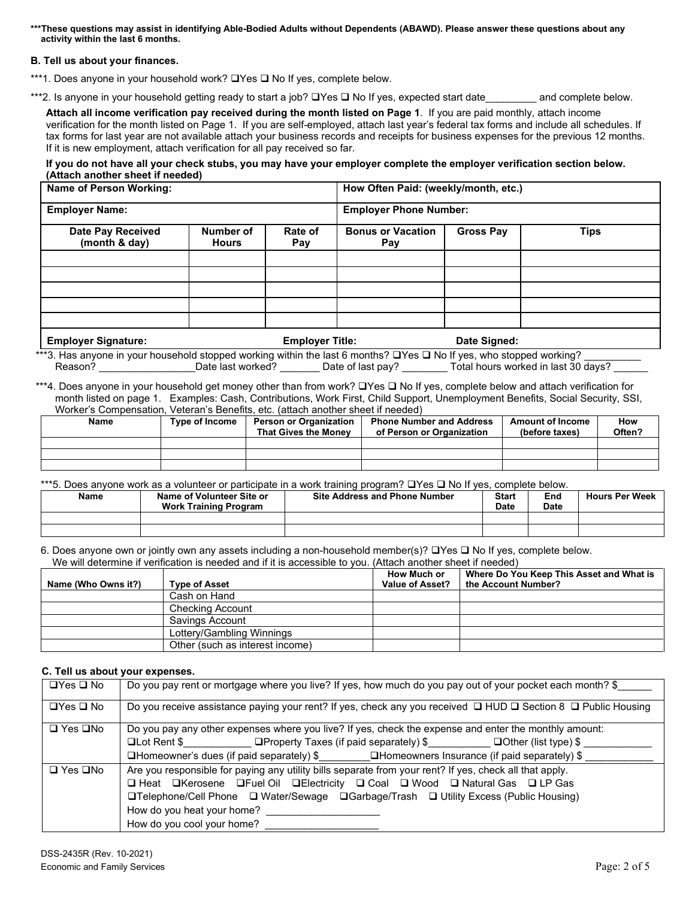**\*\*\*These questions may assist in identifying Able-Bodied Adults without Dependents (ABAWD). Please answer these questions about any activity within the last 6 months.**

### **B. Tell us about your finances.**

\*\*\*1. Does anyone in your household work?  $\Box$  Yes  $\Box$  No If yes, complete below.

\*\*\*2. Is anyone in your household getting ready to start a job?  $\Box$  Yes  $\Box$  No If yes, expected start date and complete below.

**Attach all income verification pay received during the month listed on Page 1**. If you are paid monthly, attach income verification for the month listed on Page 1. If you are self-employed, attach last year's federal tax forms and include all schedules. If tax forms for last year are not available attach your business records and receipts for business expenses for the previous 12 months. If it is new employment, attach verification for all pay received so far.

**If you do not have all your check stubs, you may have your employer complete the employer verification section below. (Attach another sheet if needed)**

| Name of Person Working:            |                           |                        | How Often Paid: (weekly/month, etc.) |                  |             |  |
|------------------------------------|---------------------------|------------------------|--------------------------------------|------------------|-------------|--|
| <b>Employer Name:</b>              |                           |                        | <b>Employer Phone Number:</b>        |                  |             |  |
| Date Pay Received<br>(month & day) | Number of<br><b>Hours</b> | Rate of<br>Pay         | <b>Bonus or Vacation</b><br>Pay      | <b>Gross Pay</b> | <b>Tips</b> |  |
|                                    |                           |                        |                                      |                  |             |  |
|                                    |                           |                        |                                      |                  |             |  |
|                                    |                           |                        |                                      |                  |             |  |
|                                    |                           |                        |                                      |                  |             |  |
|                                    |                           |                        |                                      |                  |             |  |
| <b>Employer Signature:</b>         |                           | <b>Employer Title:</b> |                                      | Date Signed:     |             |  |

\*\*\*3. Has anyone in your household stopped working within the last 6 months?  $\Box$ Yes  $\Box$  No If yes, who stopped working? \_\_\_\_\_\_\_\_\_\_ Reason? \_\_\_\_\_\_\_\_\_\_\_\_\_\_\_\_\_\_\_Date last worked? \_\_\_\_\_\_\_\_\_Date of last pay? \_\_\_\_\_\_\_\_Total hours worked in last 30 days?

\*\*\*4. Does anyone in your household get money other than from work? UYes U No If yes, complete below and attach verification for month listed on page 1. Examples: Cash, Contributions, Work First, Child Support, Unemployment Benefits, Social Security, SSI, Worker's Compensation, Veteran's Benefits, etc. (attach another sheet if needed)

| Name | Type of Income | Person or Organization<br>That Gives the Monev | <b>Phone Number and Address</b><br>of Person or Organization | <b>Amount of Income</b><br>(before taxes) | How<br>Often? |
|------|----------------|------------------------------------------------|--------------------------------------------------------------|-------------------------------------------|---------------|
|      |                |                                                |                                                              |                                           |               |
|      |                |                                                |                                                              |                                           |               |
|      |                |                                                |                                                              |                                           |               |

\*\*\*5. Does anyone work as a volunteer or participate in a work training program?  $\Box$  Yes  $\Box$  No If yes, complete below.

| Name | Name of Volunteer Site or<br><b>Work Training Program</b> | <b>Site Address and Phone Number</b> | <b>Start</b><br>Date | End<br><b>Date</b> | <b>Hours Per Week</b> |
|------|-----------------------------------------------------------|--------------------------------------|----------------------|--------------------|-----------------------|
|      |                                                           |                                      |                      |                    |                       |
|      |                                                           |                                      |                      |                    |                       |

6. Does anyone own or jointly own any assets including a non-household member(s)?  $\Box$  Yes  $\Box$  No If yes, complete below. We will determine if verification is needed and if it is accessible to you. (Attach another sheet if needed)

| Name (Who Owns it?) | <b>Type of Asset</b>            | <b>How Much or</b><br>Value of Asset? | Where Do You Keep This Asset and What is<br>the Account Number? |
|---------------------|---------------------------------|---------------------------------------|-----------------------------------------------------------------|
|                     | Cash on Hand                    |                                       |                                                                 |
|                     | <b>Checking Account</b>         |                                       |                                                                 |
|                     | Savings Account                 |                                       |                                                                 |
|                     | Lottery/Gambling Winnings       |                                       |                                                                 |
|                     | Other (such as interest income) |                                       |                                                                 |

## **C. Tell us about your expenses.**

| $\Box$ Yes $\Box$ No | Do you pay rent or mortgage where you live? If yes, how much do you pay out of your pocket each month? \$     |
|----------------------|---------------------------------------------------------------------------------------------------------------|
| $\Box$ Yes $\Box$ No | Do you receive assistance paying your rent? If yes, check any you received □ HUD □ Section 8 □ Public Housing |
| $\Box$ Yes $\Box$ No | Do you pay any other expenses where you live? If yes, check the expense and enter the monthly amount:         |
|                      | $\Box$ Lot Rent \$ $\Box$ Property Taxes (if paid separately) \$ $\Box$ Other (list type) \$                  |
|                      | <b>QHomeowner's dues (if paid separately) \$ QHomeowners Insurance (if paid separately) \$</b>                |
| $\Box$ Yes $\Box$ No | Are you responsible for paying any utility bills separate from your rent? If yes, check all that apply.       |
|                      | □ Heat □ Kerosene □ Fuel Oil □ Electricity □ Coal □ Wood □ Natural Gas □ LP Gas                               |
|                      | <b>□Telephone/Cell Phone</b> □ Water/Sewage □ Garbage/Trash □ Utility Excess (Public Housing)                 |
|                      | How do you heat your home?                                                                                    |
|                      | How do you cool your home?                                                                                    |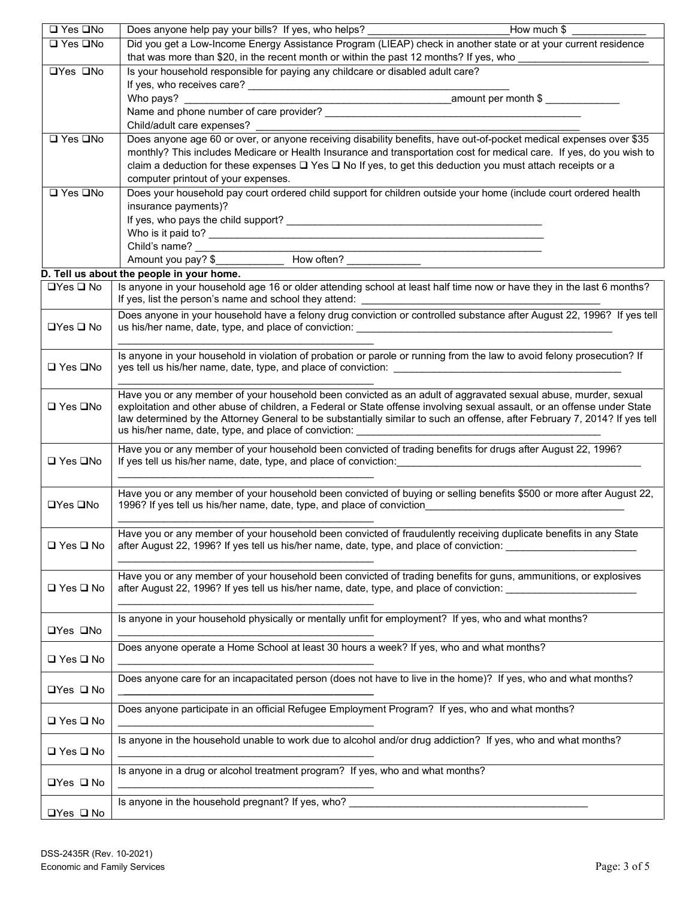| Did you get a Low-Income Energy Assistance Program (LIEAP) check in another state or at your current residence<br>□ Yes □No<br>that was more than \$20, in the recent month or within the past 12 months? If yes, who _____________<br>Is your household responsible for paying any childcare or disabled adult care?<br>□Yes □No |  |
|-----------------------------------------------------------------------------------------------------------------------------------------------------------------------------------------------------------------------------------------------------------------------------------------------------------------------------------|--|
|                                                                                                                                                                                                                                                                                                                                   |  |
|                                                                                                                                                                                                                                                                                                                                   |  |
|                                                                                                                                                                                                                                                                                                                                   |  |
| Who pays?                                                                                                                                                                                                                                                                                                                         |  |
|                                                                                                                                                                                                                                                                                                                                   |  |
| Child/adult care expenses?                                                                                                                                                                                                                                                                                                        |  |
| Does anyone age 60 or over, or anyone receiving disability benefits, have out-of-pocket medical expenses over \$35<br>□ Yes □No                                                                                                                                                                                                   |  |
| monthly? This includes Medicare or Health Insurance and transportation cost for medical care. If yes, do you wish to                                                                                                                                                                                                              |  |
| claim a deduction for these expenses □ Yes □ No If yes, to get this deduction you must attach receipts or a                                                                                                                                                                                                                       |  |
| computer printout of your expenses.                                                                                                                                                                                                                                                                                               |  |
| □ Yes □No<br>Does your household pay court ordered child support for children outside your home (include court ordered health<br>insurance payments)?                                                                                                                                                                             |  |
|                                                                                                                                                                                                                                                                                                                                   |  |
|                                                                                                                                                                                                                                                                                                                                   |  |
| <u> 1989 - Johann John Stein, markin fan it fjort fan it fjort fan it fjort fan it fjort fan it fjort fan it fjor</u>                                                                                                                                                                                                             |  |
|                                                                                                                                                                                                                                                                                                                                   |  |
| D. Tell us about the people in your home.                                                                                                                                                                                                                                                                                         |  |
| Is anyone in your household age 16 or older attending school at least half time now or have they in the last 6 months?<br>$\Box$ Yes $\Box$ No                                                                                                                                                                                    |  |
|                                                                                                                                                                                                                                                                                                                                   |  |
| Does anyone in your household have a felony drug conviction or controlled substance after August 22, 1996? If yes tell<br>$\Box$ Yes $\Box$ No<br>us his/her name, date, type, and place of conviction: __________________________                                                                                                |  |
|                                                                                                                                                                                                                                                                                                                                   |  |
| Is anyone in your household in violation of probation or parole or running from the law to avoid felony prosecution? If                                                                                                                                                                                                           |  |
| □ Yes □No                                                                                                                                                                                                                                                                                                                         |  |
|                                                                                                                                                                                                                                                                                                                                   |  |
| Have you or any member of your household been convicted as an adult of aggravated sexual abuse, murder, sexual                                                                                                                                                                                                                    |  |
| exploitation and other abuse of children, a Federal or State offense involving sexual assault, or an offense under State<br>□ Yes □No                                                                                                                                                                                             |  |
| law determined by the Attorney General to be substantially similar to such an offense, after February 7, 2014? If yes tell                                                                                                                                                                                                        |  |
| Have you or any member of your household been convicted of trading benefits for drugs after August 22, 1996?                                                                                                                                                                                                                      |  |
| □ Yes □No<br>If yes tell us his/her name, date, type, and place of conviction: example and the set of the set of the set of                                                                                                                                                                                                       |  |
|                                                                                                                                                                                                                                                                                                                                   |  |
| Have you or any member of your household been convicted of buying or selling benefits \$500 or more after August 22,                                                                                                                                                                                                              |  |
| 1996? If yes tell us his/her name, date, type, and place of conviction<br>□Yes □No                                                                                                                                                                                                                                                |  |
|                                                                                                                                                                                                                                                                                                                                   |  |
| Have you or any member of your household been convicted of fraudulently receiving duplicate benefits in any State                                                                                                                                                                                                                 |  |
| after August 22, 1996? If yes tell us his/her name, date, type, and place of conviction:<br>$\Box$ Yes $\Box$ No                                                                                                                                                                                                                  |  |
|                                                                                                                                                                                                                                                                                                                                   |  |
| Have you or any member of your household been convicted of trading benefits for guns, ammunitions, or explosives<br>□ Yes □ No<br>after August 22, 1996? If yes tell us his/her name, date, type, and place of conviction:                                                                                                        |  |
|                                                                                                                                                                                                                                                                                                                                   |  |
| Is anyone in your household physically or mentally unfit for employment? If yes, who and what months?                                                                                                                                                                                                                             |  |
| <b>□Yes □No</b>                                                                                                                                                                                                                                                                                                                   |  |
| Does anyone operate a Home School at least 30 hours a week? If yes, who and what months?                                                                                                                                                                                                                                          |  |
| □ Yes □ No                                                                                                                                                                                                                                                                                                                        |  |
| Does anyone care for an incapacitated person (does not have to live in the home)? If yes, who and what months?                                                                                                                                                                                                                    |  |
| $\Box$ Yes $\Box$ No                                                                                                                                                                                                                                                                                                              |  |
| Does anyone participate in an official Refugee Employment Program? If yes, who and what months?                                                                                                                                                                                                                                   |  |
| □ Yes □ No                                                                                                                                                                                                                                                                                                                        |  |
| Is anyone in the household unable to work due to alcohol and/or drug addiction? If yes, who and what months?                                                                                                                                                                                                                      |  |
|                                                                                                                                                                                                                                                                                                                                   |  |
| □ Yes □ No                                                                                                                                                                                                                                                                                                                        |  |
|                                                                                                                                                                                                                                                                                                                                   |  |
| Is anyone in a drug or alcohol treatment program? If yes, who and what months?<br>$\Box$ Yes $\Box$ No                                                                                                                                                                                                                            |  |
| Is anyone in the household pregnant? If yes, who? <b>Source the contract of the contract of the contract of the contract of the contract of the contract of the contract of the contract of the contract of the contract of the </b>                                                                                              |  |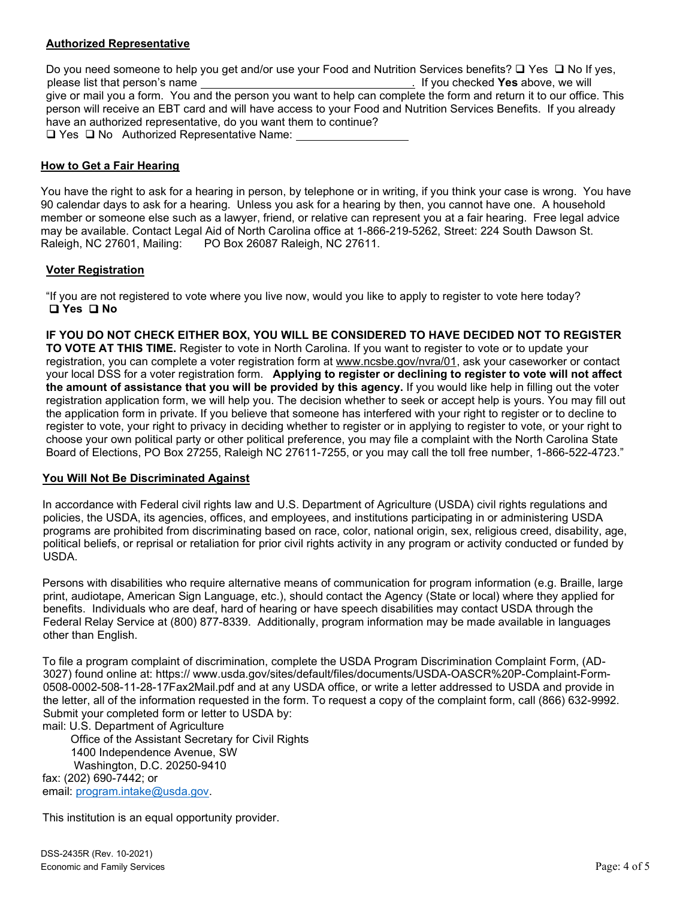# **Authorized Representative**

Do you need someone to help you get and/or use your Food and Nutrition Services benefits?  $\Box$  Yes  $\Box$  No If yes, please list that person's name . If you checked **Yes** above, we will give or mail you a form. You and the person you want to help can complete the form and return it to our office. This person will receive an EBT card and will have access to your Food and Nutrition Services Benefits. If you already have an authorized representative, do you want them to continue?  $\Box$  Yes  $\Box$  No Authorized Representative Name:

## **How to Get a Fair Hearing**

You have the right to ask for a hearing in person, by telephone or in writing, if you think your case is wrong. You have 90 calendar days to ask for a hearing. Unless you ask for a hearing by then, you cannot have one. A household member or someone else such as a lawyer, friend, or relative can represent you at a fair hearing. Free legal advice may be available. Contact Legal Aid of North Carolina office at 1-866-219-5262, Street: 224 South Dawson St.<br>Raleigh, NC 27601, Mailing: PO Box 26087 Raleigh, NC 27611. PO Box 26087 Raleigh, NC 27611.

## **Voter Registration**

"If you are not registered to vote where you live now, would you like to apply to register to vote here today? **Yes No**

**IF YOU DO NOT CHECK EITHER BOX, YOU WILL BE CONSIDERED TO HAVE DECIDED NOT TO REGISTER TO VOTE AT THIS TIME.** Register to vote in North Carolina. If you want to register to vote or to update your registration, you can complete a voter registration form at [www.ncsbe.gov/n](http://www.ncsbe.gov/)vra/01, ask your caseworker or contact your local DSS for a voter registration form. **Applying to register or declining to register to vote will not affect the amount of assistance that you will be provided by this agency.** If you would like help in filling out the voter registration application form, we will help you. The decision whether to seek or accept help is yours. You may fill out the application form in private. If you believe that someone has interfered with your right to register or to decline to register to vote, your right to privacy in deciding whether to register or in applying to register to vote, or your right to choose your own political party or other political preference, you may file a complaint with the North Carolina State Board of Elections, PO Box 27255, Raleigh NC 27611-7255, or you may call the toll free number, 1-866-522-4723."

## **You Will Not Be Discriminated Against**

In accordance with Federal civil rights law and U.S. Department of Agriculture (USDA) civil rights regulations and policies, the USDA, its agencies, offices, and employees, and institutions participating in or administering USDA programs are prohibited from discriminating based on race, color, national origin, sex, religious creed, disability, age, political beliefs, or reprisal or retaliation for prior civil rights activity in any program or activity conducted or funded by USDA.

Persons with disabilities who require alternative means of communication for program information (e.g. Braille, large print, audiotape, American Sign Language, etc.), should contact the Agency (State or local) where they applied for benefits. Individuals who are deaf, hard of hearing or have speech disabilities may contact USDA through the Federal Relay Service at (800) 877-8339. Additionally, program information may be made available in languages other than English.

To file a program complaint of discrimination, complete the USDA Program Discrimination Complaint Form, (AD-3027) found online at: https:// www.usda.gov/sites/default/files/documents/USDA-OASCR%20P-Complaint-Form-0508-0002-508-11-28-17Fax2Mail.pdf and at any USDA office, or write a letter addressed to USDA and provide in the letter, all of the information requested in the form. To request a copy of the complaint form, call (866) 632-9992. Submit your completed form or letter to USDA by:

mail: U.S. Department of Agriculture

 Office of the Assistant Secretary for Civil Rights 1400 Independence Avenue, SW Washington, D.C. 20250-9410 fax: (202) 690-7442; or email: [program.intake@usda.gov.](mailto:program.intake@usda.gov)

This institution is an equal opportunity provider.